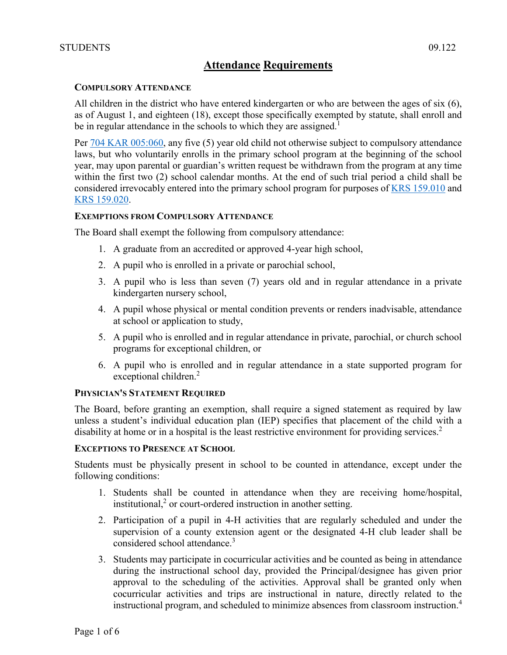# **Attendance Requirements**

### **COMPULSORY ATTENDANCE**

All children in the district who have entered kindergarten or who are between the ages of six (6), as of August 1, and eighteen (18), except those specifically exempted by statute, shall enroll and be in regular attendance in the schools to which they are assigned.<sup>1</sup>

Per [704 KAR 005:060,](http://policy.ksba.org/documentmanager.aspx?requestarticle=/kar/704/005/060.htm&requesttype=kar) any five (5) year old child not otherwise subject to compulsory attendance laws, but who voluntarily enrolls in the primary school program at the beginning of the school year, may upon parental or guardian's written request be withdrawn from the program at any time within the first two (2) school calendar months. At the end of such trial period a child shall be considered irrevocably entered into the primary school program for purposes of [KRS 159.010](http://policy.ksba.org/DocumentManager.aspx?requestarticle=/KRS/159-00/010.pdf&requesttype=krs) and [KRS 159.020.](http://policy.ksba.org/DocumentManager.aspx?requestarticle=/KRS/159-00/020.pdf&requesttype=krs)

### **EXEMPTIONS FROM COMPULSORY ATTENDANCE**

The Board shall exempt the following from compulsory attendance:

- 1. A graduate from an accredited or approved 4-year high school,
- 2. A pupil who is enrolled in a private or parochial school,
- 3. A pupil who is less than seven (7) years old and in regular attendance in a private kindergarten nursery school,
- 4. A pupil whose physical or mental condition prevents or renders inadvisable, attendance at school or application to study,
- 5. A pupil who is enrolled and in regular attendance in private, parochial, or church school programs for exceptional children, or
- 6. A pupil who is enrolled and in regular attendance in a state supported program for exceptional children.<sup>2</sup>

# **PHYSICIAN'S STATEMENT REQUIRED**

The Board, before granting an exemption, shall require a signed statement as required by law unless a student's individual education plan (IEP) specifies that placement of the child with a disability at home or in a hospital is the least restrictive environment for providing services.<sup>2</sup>

### **EXCEPTIONS TO PRESENCE AT SCHOOL**

Students must be physically present in school to be counted in attendance, except under the following conditions:

- 1. Students shall be counted in attendance when they are receiving home/hospital,  $initial$ ,  $2$  or court-ordered instruction in another setting.
- 2. Participation of a pupil in 4-H activities that are regularly scheduled and under the supervision of a county extension agent or the designated 4-H club leader shall be considered school attendance.<sup>3</sup>
- 3. Students may participate in cocurricular activities and be counted as being in attendance during the instructional school day, provided the Principal/designee has given prior approval to the scheduling of the activities. Approval shall be granted only when cocurricular activities and trips are instructional in nature, directly related to the instructional program, and scheduled to minimize absences from classroom instruction.<sup>4</sup>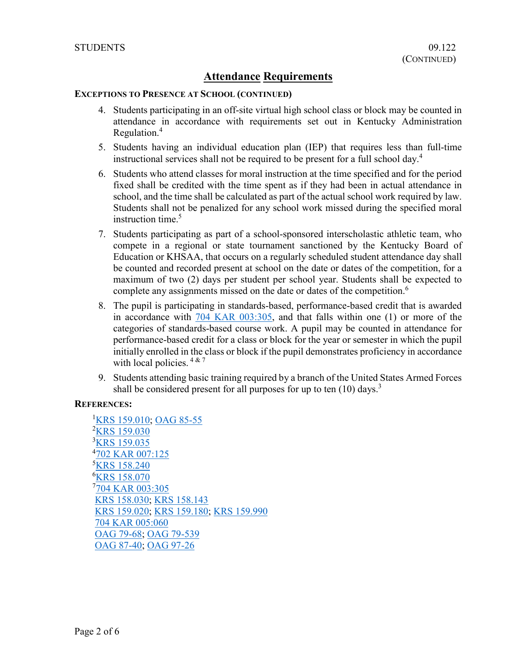# **Attendance Requirements**

### **EXCEPTIONS TO PRESENCE AT SCHOOL (CONTINUED)**

- 4. Students participating in an off-site virtual high school class or block may be counted in attendance in accordance with requirements set out in Kentucky Administration Regulation.4
- 5. Students having an individual education plan (IEP) that requires less than full-time instructional services shall not be required to be present for a full school day.<sup>4</sup>
- 6. Students who attend classes for moral instruction at the time specified and for the period fixed shall be credited with the time spent as if they had been in actual attendance in school, and the time shall be calculated as part of the actual school work required by law. Students shall not be penalized for any school work missed during the specified moral instruction time.<sup>5</sup>
- 7. Students participating as part of a school-sponsored interscholastic athletic team, who compete in a regional or state tournament sanctioned by the Kentucky Board of Education or KHSAA, that occurs on a regularly scheduled student attendance day shall be counted and recorded present at school on the date or dates of the competition, for a maximum of two (2) days per student per school year. Students shall be expected to complete any assignments missed on the date or dates of the competition.<sup>6</sup>
- 8. The pupil is participating in standards-based, performance-based credit that is awarded in accordance with [704 KAR 003:305,](http://policy.ksba.org/documentmanager.aspx?requestarticle=/kar/704/003/305.htm&requesttype=kar) and that falls within one (1) or more of the categories of standards-based course work. A pupil may be counted in attendance for performance-based credit for a class or block for the year or semester in which the pupil initially enrolled in the class or block if the pupil demonstrates proficiency in accordance with local policies.  $4 \times 7$
- 9. Students attending basic training required by a branch of the United States Armed Forces shall be considered present for all purposes for up to ten  $(10)$  days.<sup>3</sup>

# **REFERENCES:**

<sup>1</sup>[KRS 159.010;](http://policy.ksba.org/DocumentManager.aspx?requestarticle=/KRS/159-00/010.pdf&requesttype=krs) [OAG 85-55](http://policy.ksba.org/documentmanager.aspx?requestarticle=/civil/opinions/OAG8555.htm&requesttype=oag) <sup>2</sup>[KRS 159.030](http://policy.ksba.org/DocumentManager.aspx?requestarticle=/KRS/159-00/030.pdf&requesttype=krs) <sup>3</sup>[KRS 159.035](http://policy.ksba.org/DocumentManager.aspx?requestarticle=/KRS/159-00/035.pdf&requesttype=krs) 4 [702 KAR 007:125](http://policy.ksba.org/documentmanager.aspx?requestarticle=/kar/702/007/125.htm&requesttype=kar) **KRS** 158.240 **KRS** 158.070 <sup>7</sup>[704 KAR 003:305](http://policy.ksba.org/documentmanager.aspx?requestarticle=/kar/704/003/305.htm&requesttype=kar) [KRS 158.030;](http://policy.ksba.org/DocumentManager.aspx?requestarticle=/KRS/158-00/030.pdf&requesttype=krs) [KRS 158.143](http://policy.ksba.org/DocumentManager.aspx?requestarticle=/KRS/158-00/143.pdf&requesttype=krs) [KRS 159.020;](http://policy.ksba.org/DocumentManager.aspx?requestarticle=/KRS/159-00/020.pdf&requesttype=krs) [KRS 159.180;](http://policy.ksba.org/DocumentManager.aspx?requestarticle=/KRS/159-00/180.pdf&requesttype=krs) [KRS 159.990](http://policy.ksba.org/DocumentManager.aspx?requestarticle=/KRS/159-00/990.pdf&requesttype=krs) [704 KAR 005:060](http://policy.ksba.org/documentmanager.aspx?requestarticle=/kar/704/005/060.htm&requesttype=kar) [OAG 79-68;](http://policy.ksba.org/documentmanager.aspx?requestarticle=/civil/opinions/OAG7968.htm&requesttype=oag) [OAG 79-539](http://policy.ksba.org/documentmanager.aspx?requestarticle=/civil/opinions/OAG79539.htm&requesttype=oag) [OAG 87-40;](http://policy.ksba.org/documentmanager.aspx?requestarticle=/civil/opinions/OAG8740.htm&requesttype=oag) [OAG 97-26](http://policy.ksba.org/documentmanager.aspx?requestarticle=/civil/opinions/OAG9726.htm&requesttype=oag)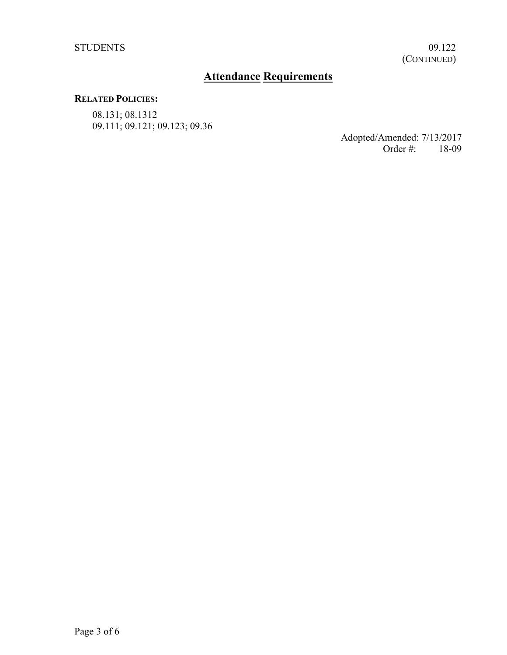# **Attendance Requirements**

### **RELATED POLICIES:**

08.131; 08.1312 09.111; 09.121; 09.123; 09.36

Adopted/Amended: 7/13/2017<br>Order #: 18-09 Order #: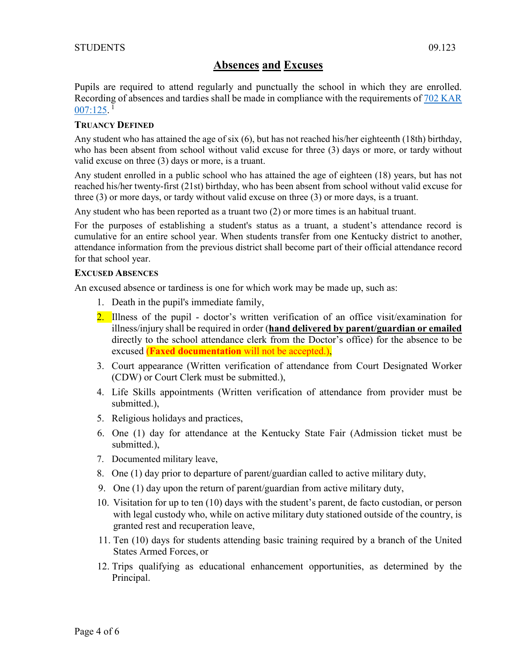# **Absences and Excuses**

Pupils are required to attend regularly and punctually the school in which they are enrolled. Recording of absences and tardies shall be made in compliance with the requirements of 702 KAR  $007:125.$ <sup>1</sup>

# **TRUANCY DEFINED**

Any student who has attained the age of six (6), but has not reached his/her eighteenth (18th) birthday, who has been absent from school without valid excuse for three (3) days or more, or tardy without valid excuse on three (3) days or more, is a truant.

Any student enrolled in a public school who has attained the age of eighteen (18) years, but has not reached his/her twenty-first (21st) birthday, who has been absent from school without valid excuse for three (3) or more days, or tardy without valid excuse on three (3) or more days, is a truant.

Any student who has been reported as a truant two (2) or more times is an habitual truant.

For the purposes of establishing a student's status as a truant, a student's attendance record is cumulative for an entire school year. When students transfer from one Kentucky district to another, attendance information from the previous district shall become part of their official attendance record for that school year.

### **EXCUSED ABSENCES**

An excused absence or tardiness is one for which work may be made up, such as:

- 1. Death in the pupil's immediate family,
- 2. Illness of the pupil doctor's written verification of an office visit/examination for illness/injury shall be required in order (**hand delivered by parent/guardian or emailed** directly to the school attendance clerk from the Doctor's office) for the absence to be excused (**Faxed documentation** will not be accepted.),
- 3. Court appearance (Written verification of attendance from Court Designated Worker (CDW) or Court Clerk must be submitted.),
- 4. Life Skills appointments (Written verification of attendance from provider must be submitted.),
- 5. Religious holidays and practices,
- 6. One (1) day for attendance at the Kentucky State Fair (Admission ticket must be submitted.),
- 7. Documented military leave,
- 8. One (1) day prior to departure of parent/guardian called to active military duty,
- 9. One (1) day upon the return of parent/guardian from active military duty,
- 10. Visitation for up to ten (10) days with the student's parent, de facto custodian, or person with legal custody who, while on active military duty stationed outside of the country, is granted rest and recuperation leave,
- 11. Ten (10) days for students attending basic training required by a branch of the United States Armed Forces, or
- 12. Trips qualifying as educational enhancement opportunities, as determined by the Principal.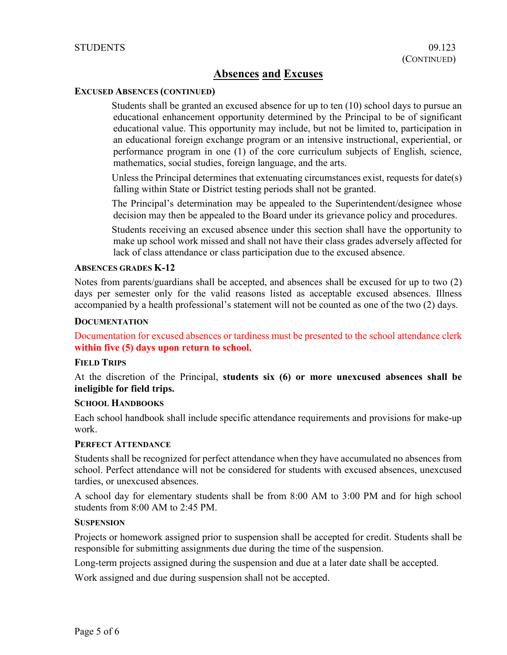# **Absences and Excuses**

### **EXCUSED ABSENCES (CONTINUED)**

Students shall be granted an excused absence for up to ten (10) school days to pursue an educational enhancement opportunity determined by the Principal to be of significant educational value. This opportunity may include, but not be limited to, participation in an educational foreign exchange program or an intensive instructional, experiential, or performance program in one (1) of the core curriculum subjects of English, science, mathematics, social studies, foreign language, and the arts.

Unless the Principal determines that extenuating circumstances exist, requests for date(s) falling within State or District testing periods shall not be granted.

The Principal's determination may be appealed to the Superintendent/designee whose decision may then be appealed to the Board under its grievance policy and procedures.

Students receiving an excused absence under this section shall have the opportunity to make up school work missed and shall not have their class grades adversely affected for lack of class attendance or class participation due to the excused absence.

### **ABSENCES GRADES K-12**

Notes from parents/guardians shall be accepted, and absences shall be excused for up to two (2) days per semester only for the valid reasons listed as acceptable excused absences. Illness accompanied by a health professional's statement will not be counted as one of the two (2) days.

### **DOCUMENTATION**

Documentation for excused absences or tardiness must be presented to the school attendance clerk **within five (5) days upon return to school.**

### **FIELD TRIPS**

At the discretion of the Principal, **students six (6) or more unexcused absences shall be ineligible for field trips.**

### **SCHOOL HANDBOOKS**

Each school handbook shall include specific attendance requirements and provisions for make-up work.

# **PERFECT ATTENDANCE**

Students shall be recognized for perfect attendance when they have accumulated no absences from school. Perfect attendance will not be considered for students with excused absences, unexcused tardies, or unexcused absences.

A school day for elementary students shall be from 8:00 AM to 3:00 PM and for high school students from 8:00 AM to 2:45 PM.

### **SUSPENSION**

Projects or homework assigned prior to suspension shall be accepted for credit. Students shall be responsible for submitting assignments due during the time of the suspension.

Long-term projects assigned during the suspension and due at a later date shall be accepted.

Work assigned and due during suspension shall not be accepted.